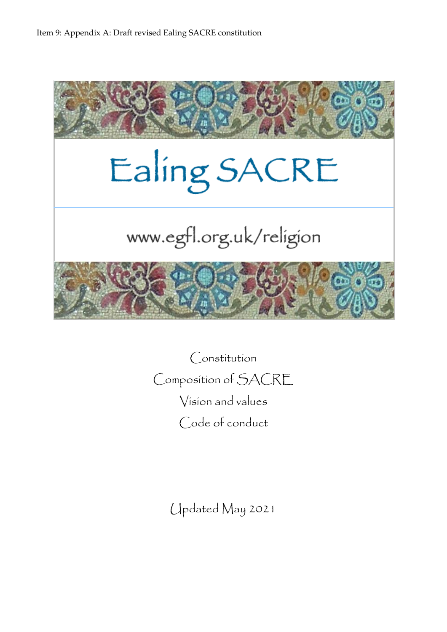

Constitution Composition of SACRE Vision and values Code of conduct

Updated May 2021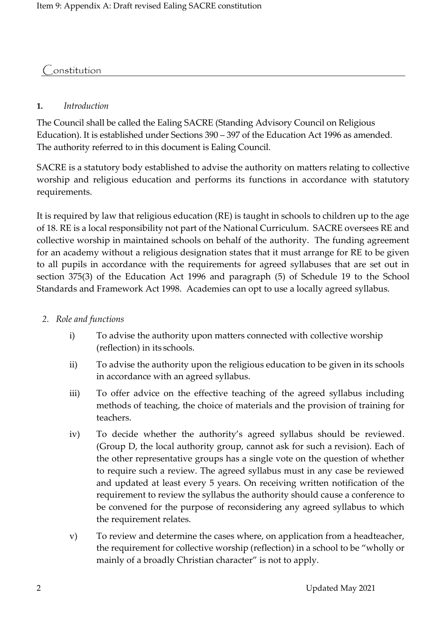## **Constitution**

#### **1.** *Introduction*

The Council shall be called the Ealing SACRE (Standing Advisory Council on Religious Education). It is established under Sections 390 – 397 of the Education Act 1996 as amended. The authority referred to in this document is Ealing Council.

SACRE is a statutory body established to advise the authority on matters relating to collective worship and religious education and performs its functions in accordance with statutory requirements.

It is required by law that religious education (RE) is taught in schools to children up to the age of 18. RE is a local responsibility not part of the National Curriculum. SACRE oversees RE and collective worship in maintained schools on behalf of the authority. The funding agreement for an academy without a religious designation states that it must arrange for RE to be given to all pupils in accordance with the requirements for agreed syllabuses that are set out in section 375(3) of the Education Act 1996 and paragraph (5) of Schedule 19 to the School Standards and Framework Act 1998. Academies can opt to use a locally agreed syllabus.

- *2. Role and functions*
	- i) To advise the authority upon matters connected with collective worship (reflection) in its schools.
	- ii) To advise the authority upon the religious education to be given in its schools in accordance with an agreed syllabus.
	- iii) To offer advice on the effective teaching of the agreed syllabus including methods of teaching, the choice of materials and the provision of training for teachers.
	- iv) To decide whether the authority's agreed syllabus should be reviewed. (Group D, the local authority group, cannot ask for such a revision). Each of the other representative groups has a single vote on the question of whether to require such a review. The agreed syllabus must in any case be reviewed and updated at least every 5 years. On receiving written notification of the requirement to review the syllabus the authority should cause a conference to be convened for the purpose of reconsidering any agreed syllabus to which the requirement relates.
	- v) To review and determine the cases where, on application from a headteacher, the requirement for collective worship (reflection) in a school to be "wholly or mainly of a broadly Christian character" is not to apply.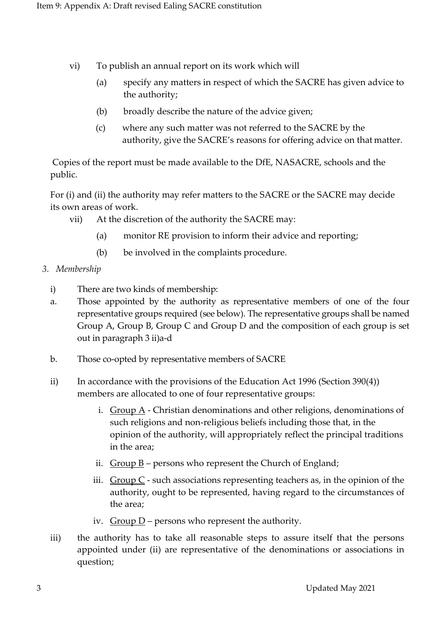- vi) To publish an annual report on its work which will
	- (a) specify any matters in respect of which the SACRE has given advice to the authority;
	- (b) broadly describe the nature of the advice given;
	- (c) where any such matter was not referred to the SACRE by the authority, give the SACRE's reasons for offering advice on that matter.

 Copies of the report must be made available to the DfE, NASACRE, schools and the public.

 For (i) and (ii) the authority may refer matters to the SACRE or the SACRE may decide its own areas of work.

- vii) At the discretion of the authority the SACRE may:
	- (a) monitor RE provision to inform their advice and reporting;
	- (b) be involved in the complaints procedure.
- *3. Membership*
	- i) There are two kinds of membership:
	- a. Those appointed by the authority as representative members of one of the four representative groups required (see below). The representative groups shall be named Group A, Group B, Group C and Group D and the composition of each group is set out in paragraph 3 ii)a-d
	- b. Those co-opted by representative members of SACRE
	- ii) In accordance with the provisions of the Education Act 1996 (Section 390(4)) members are allocated to one of four representative groups:
		- i. Group  $A$  Christian denominations and other religions, denominations of such religions and non-religious beliefs including those that, in the opinion of the authority, will appropriately reflect the principal traditions in the area;
		- ii.  $Group B$  persons who represent the Church of England;
		- iii.  $Group C$  such associations representing teachers as, in the opinion of the authority, ought to be represented, having regard to the circumstances of the area;
		- iv.  $Group\ D$  persons who represent the authority.
	- iii) the authority has to take all reasonable steps to assure itself that the persons appointed under (ii) are representative of the denominations or associations in question;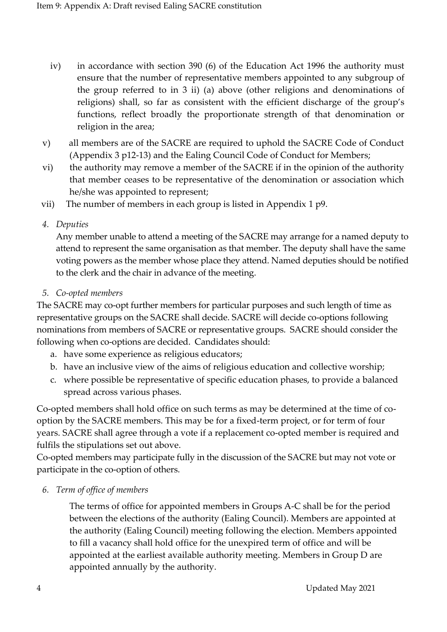- iv) in accordance with section 390 (6) of the Education Act 1996 the authority must ensure that the number of representative members appointed to any subgroup of the group referred to in 3 ii) (a) above (other religions and denominations of religions) shall, so far as consistent with the efficient discharge of the group's functions, reflect broadly the proportionate strength of that denomination or religion in the area;
- v) all members are of the SACRE are required to uphold the SACRE Code of Conduct (Appendix 3 p12-13) and the Ealing Council Code of Conduct for Members;
- vi) the authority may remove a member of the SACRE if in the opinion of the authority that member ceases to be representative of the denomination or association which he/she was appointed to represent;
- vii) The number of members in each group is listed in Appendix 1 p9.
- *4. Deputies*

Any member unable to attend a meeting of the SACRE may arrange for a named deputy to attend to represent the same organisation as that member. The deputy shall have the same voting powers as the member whose place they attend. Named deputies should be notified to the clerk and the chair in advance of the meeting.

*5. Co-opted members*

The SACRE may co-opt further members for particular purposes and such length of time as representative groups on the SACRE shall decide. SACRE will decide co-options following nominations from members of SACRE or representative groups. SACRE should consider the following when co-options are decided. Candidates should:

- a. have some experience as religious educators;
- b. have an inclusive view of the aims of religious education and collective worship;
- c. where possible be representative of specific education phases, to provide a balanced spread across various phases.

Co-opted members shall hold office on such terms as may be determined at the time of cooption by the SACRE members. This may be for a fixed-term project, or for term of four years. SACRE shall agree through a vote if a replacement co-opted member is required and fulfils the stipulations set out above.

Co-opted members may participate fully in the discussion of the SACRE but may not vote or participate in the co-option of others.

*6. Term of office of members*

The terms of office for appointed members in Groups A-C shall be for the period between the elections of the authority (Ealing Council). Members are appointed at the authority (Ealing Council) meeting following the election. Members appointed to fill a vacancy shall hold office for the unexpired term of office and will be appointed at the earliest available authority meeting. Members in Group D are appointed annually by the authority.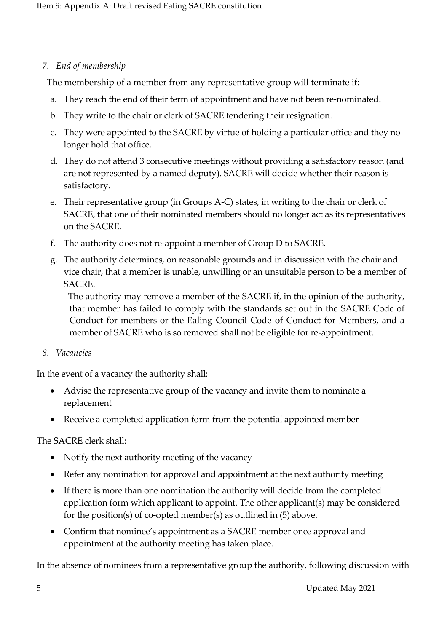## *7. End of membership*

The membership of a member from any representative group will terminate if:

- a. They reach the end of their term of appointment and have not been re-nominated.
- b. They write to the chair or clerk of SACRE tendering their resignation.
- c. They were appointed to the SACRE by virtue of holding a particular office and they no longer hold that office.
- d. They do not attend 3 consecutive meetings without providing a satisfactory reason (and are not represented by a named deputy). SACRE will decide whether their reason is satisfactory.
- e. Their representative group (in Groups A-C) states, in writing to the chair or clerk of SACRE, that one of their nominated members should no longer act as its representatives on the SACRE.
- f. The authority does not re-appoint a member of Group D to SACRE.
- g. The authority determines, on reasonable grounds and in discussion with the chair and vice chair, that a member is unable, unwilling or an unsuitable person to be a member of SACRE.

 The authority may remove a member of the SACRE if, in the opinion of the authority, that member has failed to comply with the standards set out in the SACRE Code of Conduct for members or the Ealing Council Code of Conduct for Members, and a member of SACRE who is so removed shall not be eligible for re-appointment.

#### *8. Vacancies*

In the event of a vacancy the authority shall:

- Advise the representative group of the vacancy and invite them to nominate a replacement
- Receive a completed application form from the potential appointed member

## The SACRE clerk shall:

- Notify the next authority meeting of the vacancy
- Refer any nomination for approval and appointment at the next authority meeting
- If there is more than one nomination the authority will decide from the completed application form which applicant to appoint. The other applicant(s) may be considered for the position(s) of co-opted member(s) as outlined in (5) above.
- Confirm that nominee's appointment as a SACRE member once approval and appointment at the authority meeting has taken place.

In the absence of nominees from a representative group the authority, following discussion with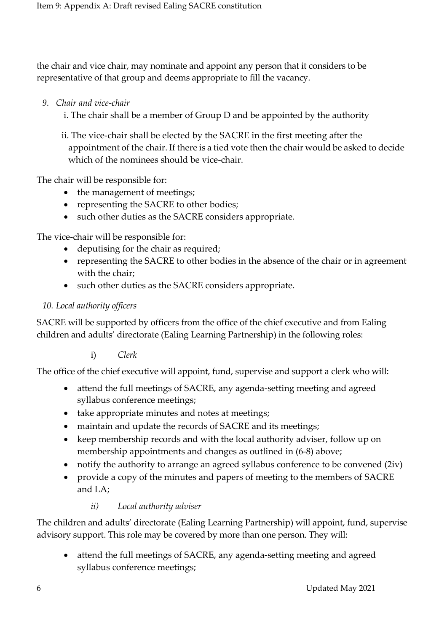the chair and vice chair, may nominate and appoint any person that it considers to be representative of that group and deems appropriate to fill the vacancy.

- *9. Chair and vice-chair*
	- i. The chair shall be a member of Group D and be appointed by the authority

 ii. The vice-chair shall be elected by the SACRE in the first meeting after the appointment of the chair. If there is a tied vote then the chair would be asked to decide which of the nominees should be vice-chair.

The chair will be responsible for:

- the management of meetings;
- representing the SACRE to other bodies;
- such other duties as the SACRE considers appropriate.

The vice-chair will be responsible for:

- deputising for the chair as required;
- representing the SACRE to other bodies in the absence of the chair or in agreement with the chair;
- such other duties as the SACRE considers appropriate.

## *10. Local authority officers*

SACRE will be supported by officers from the office of the chief executive and from Ealing children and adults' directorate (Ealing Learning Partnership) in the following roles:

i) *Clerk* 

The office of the chief executive will appoint, fund, supervise and support a clerk who will:

- attend the full meetings of SACRE, any agenda-setting meeting and agreed syllabus conference meetings;
- take appropriate minutes and notes at meetings;
- maintain and update the records of SACRE and its meetings;
- keep membership records and with the local authority adviser, follow up on membership appointments and changes as outlined in (6-8) above;
- notify the authority to arrange an agreed syllabus conference to be convened (2iv)
- provide a copy of the minutes and papers of meeting to the members of SACRE and LA;

#### *ii) Local authority adviser*

The children and adults' directorate (Ealing Learning Partnership) will appoint, fund, supervise advisory support. This role may be covered by more than one person. They will:

• attend the full meetings of SACRE, any agenda-setting meeting and agreed syllabus conference meetings;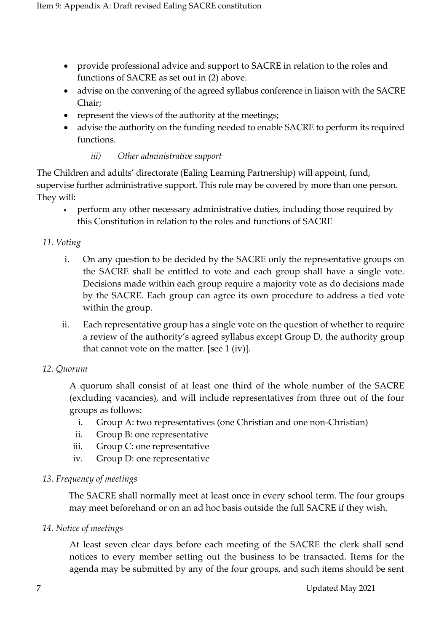- provide professional advice and support to SACRE in relation to the roles and functions of SACRE as set out in (2) above.
- advise on the convening of the agreed syllabus conference in liaison with the SACRE Chair;
- represent the views of the authority at the meetings;
- advise the authority on the funding needed to enable SACRE to perform its required functions.

#### *iii) Other administrative support*

The Children and adults' directorate (Ealing Learning Partnership) will appoint, fund, supervise further administrative support. This role may be covered by more than one person. They will:

• perform any other necessary administrative duties, including those required by this Constitution in relation to the roles and functions of SACRE

#### *11. Voting*

- i. On any question to be decided by the SACRE only the representative groups on the SACRE shall be entitled to vote and each group shall have a single vote. Decisions made within each group require a majority vote as do decisions made by the SACRE. Each group can agree its own procedure to address a tied vote within the group.
- ii. Each representative group has a single vote on the question of whether to require a review of the authority's agreed syllabus except Group D, the authority group that cannot vote on the matter. [see 1 (iv)].

#### *12. Quorum*

A quorum shall consist of at least one third of the whole number of the SACRE (excluding vacancies), and will include representatives from three out of the four groups as follows:

- i. Group A: two representatives (one Christian and one non-Christian)
- ii. Group B: one representative
- iii. Group C: one representative
- iv. Group D: one representative

#### *13. Frequency of meetings*

The SACRE shall normally meet at least once in every school term. The four groups may meet beforehand or on an ad hoc basis outside the full SACRE if they wish.

#### *14. Notice of meetings*

At least seven clear days before each meeting of the SACRE the clerk shall send notices to every member setting out the business to be transacted. Items for the agenda may be submitted by any of the four groups, and such items should be sent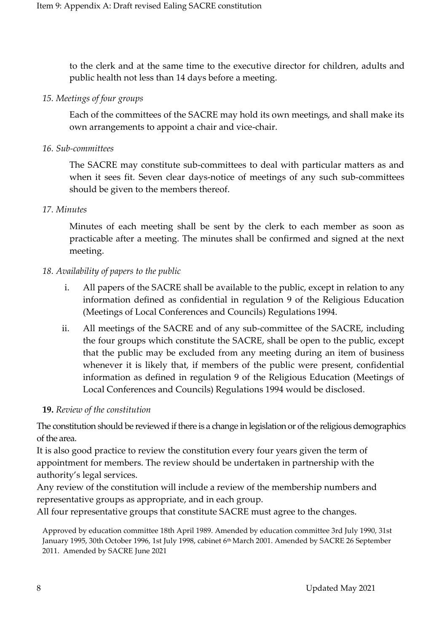to the clerk and at the same time to the executive director for children, adults and public health not less than 14 days before a meeting.

#### *15. Meetings of four groups*

Each of the committees of the SACRE may hold its own meetings, and shall make its own arrangements to appoint a chair and vice-chair.

#### *16. Sub-committees*

The SACRE may constitute sub-committees to deal with particular matters as and when it sees fit. Seven clear days-notice of meetings of any such sub-committees should be given to the members thereof.

#### *17. Minutes*

Minutes of each meeting shall be sent by the clerk to each member as soon as practicable after a meeting. The minutes shall be confirmed and signed at the next meeting.

#### *18. Availability of papers to the public*

- i. All papers of the SACRE shall be available to the public, except in relation to any information defined as confidential in regulation 9 of the Religious Education (Meetings of Local Conferences and Councils) Regulations 1994.
- ii. All meetings of the SACRE and of any sub-committee of the SACRE, including the four groups which constitute the SACRE, shall be open to the public, except that the public may be excluded from any meeting during an item of business whenever it is likely that, if members of the public were present, confidential information as defined in regulation 9 of the Religious Education (Meetings of Local Conferences and Councils) Regulations 1994 would be disclosed.

#### **19.** *Review of the constitution*

The constitution should be reviewed if there is a change in legislation or of the religious demographics of the area.

It is also good practice to review the constitution every four years given the term of appointment for members. The review should be undertaken in partnership with the authority's legal services.

Any review of the constitution will include a review of the membership numbers and representative groups as appropriate, and in each group.

All four representative groups that constitute SACRE must agree to the changes.

Approved by education committee 18th April 1989. Amended by education committee 3rd July 1990, 31st January 1995, 30th October 1996, 1st July 1998, cabinet 6th March 2001. Amended by SACRE 26 September 2011. Amended by SACRE June 2021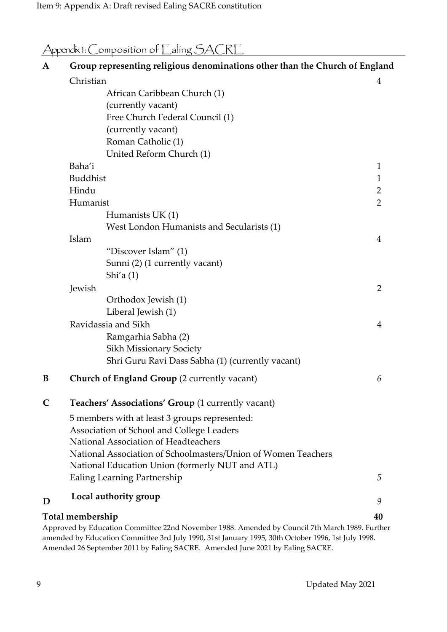| Appendix 1: Composition of Ealing SACRE |
|-----------------------------------------|
|                                         |

| $\mathbf{A}$ | Group representing religious denominations other than the Church of England                    |                |
|--------------|------------------------------------------------------------------------------------------------|----------------|
|              | Christian                                                                                      | 4              |
|              | African Caribbean Church (1)                                                                   |                |
|              | (currently vacant)                                                                             |                |
|              | Free Church Federal Council (1)                                                                |                |
|              | (currently vacant)                                                                             |                |
|              | Roman Catholic (1)                                                                             |                |
|              | United Reform Church (1)                                                                       |                |
|              | Baha'i                                                                                         | 1              |
|              | <b>Buddhist</b>                                                                                | $\mathbf 1$    |
|              | Hindu                                                                                          | $\overline{2}$ |
|              | Humanist                                                                                       | $\overline{2}$ |
|              | Humanists UK (1)                                                                               |                |
|              | West London Humanists and Secularists (1)                                                      |                |
|              | Islam                                                                                          | 4              |
|              | "Discover Islam" (1)                                                                           |                |
|              | Sunni (2) (1 currently vacant)                                                                 |                |
|              | Shi'a $(1)$                                                                                    |                |
|              | Jewish                                                                                         | $\overline{2}$ |
|              | Orthodox Jewish (1)                                                                            |                |
|              | Liberal Jewish (1)                                                                             |                |
|              | Ravidassia and Sikh                                                                            | 4              |
|              | Ramgarhia Sabha (2)                                                                            |                |
|              | <b>Sikh Missionary Society</b>                                                                 |                |
|              | Shri Guru Ravi Dass Sabha (1) (currently vacant)                                               |                |
| B            | <b>Church of England Group (2 currently vacant)</b>                                            | 6              |
| C            | Teachers' Associations' Group (1 currently vacant)                                             |                |
|              | 5 members with at least 3 groups represented:                                                  |                |
|              | Association of School and College Leaders                                                      |                |
|              | National Association of Headteachers                                                           |                |
|              | National Association of Schoolmasters/Union of Women Teachers                                  |                |
|              | National Education Union (formerly NUT and ATL)                                                |                |
|              | Ealing Learning Partnership                                                                    | 5              |
| D            | Local authority group                                                                          | 9              |
|              | Total membership                                                                               |                |
|              | Approved by Education Committee 22nd November 1988. Amended by Council 7th March 1989. Further | 40             |
|              | $1.1 - 1.000 - 21$                                                                             |                |

amended by Education Committee 3rd July 1990, 31st January 1995, 30th October 1996, 1st July 1998. Amended 26 September 2011 by Ealing SACRE. Amended June 2021 by Ealing SACRE.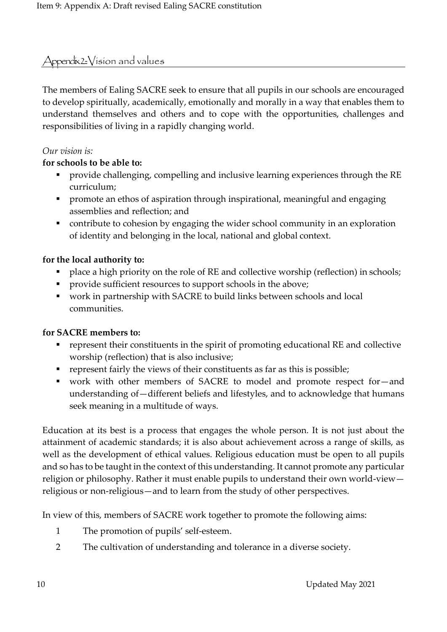## $\triangle$ ppendix  $2$ :  $\triangle$ ision and values

The members of Ealing SACRE seek to ensure that all pupils in our schools are encouraged to develop spiritually, academically, emotionally and morally in a way that enables them to understand themselves and others and to cope with the opportunities, challenges and responsibilities of living in a rapidly changing world.

#### *Our vision is:*

## **for schools to be able to:**

- provide challenging, compelling and inclusive learning experiences through the RE curriculum;
- promote an ethos of aspiration through inspirational, meaningful and engaging assemblies and reflection; and
- contribute to cohesion by engaging the wider school community in an exploration of identity and belonging in the local, national and global context.

## **for the local authority to:**

- place a high priority on the role of RE and collective worship (reflection) in schools;
- **•** provide sufficient resources to support schools in the above;
- work in partnership with SACRE to build links between schools and local communities.

#### **for SACRE members to:**

- represent their constituents in the spirit of promoting educational RE and collective worship (reflection) that is also inclusive;
- represent fairly the views of their constituents as far as this is possible;
- work with other members of SACRE to model and promote respect for—and understanding of—different beliefs and lifestyles, and to acknowledge that humans seek meaning in a multitude of ways.

Education at its best is a process that engages the whole person. It is not just about the attainment of academic standards; it is also about achievement across a range of skills, as well as the development of ethical values. Religious education must be open to all pupils and so has to be taught in the context of this understanding. It cannot promote any particular religion or philosophy. Rather it must enable pupils to understand their own world-view religious or non-religious—and to learn from the study of other perspectives.

In view of this, members of SACRE work together to promote the following aims:

- 1 The promotion of pupils' self-esteem.
- 2 The cultivation of understanding and tolerance in a diverse society.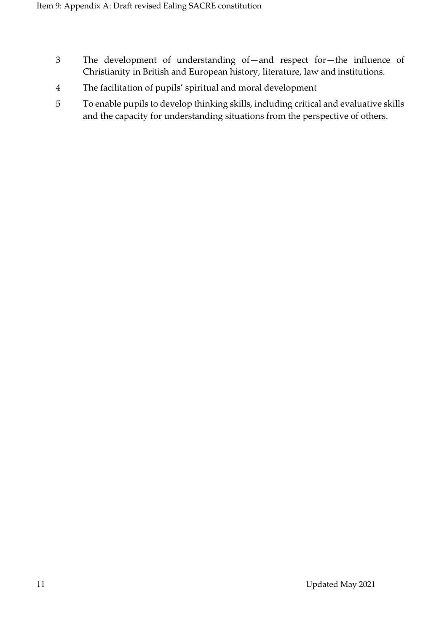- 3 The development of understanding of—and respect for—the influence of Christianity in British and European history, literature, law and institutions.
- 4 The facilitation of pupils' spiritual and moral development
- 5 To enable pupils to develop thinking skills, including critical and evaluative skills and the capacity for understanding situations from the perspective of others.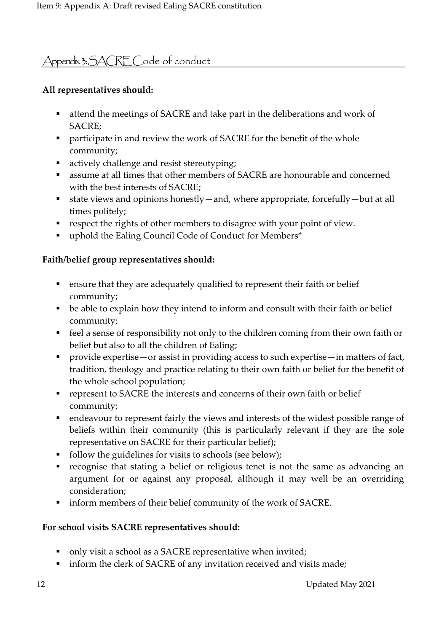# Appendix 3: SACRE Code of conduct

## **All representatives should:**

- attend the meetings of SACRE and take part in the deliberations and work of SACRE;
- participate in and review the work of SACRE for the benefit of the whole community;
- actively challenge and resist stereotyping;
- assume at all times that other members of SACRE are honourable and concerned with the best interests of SACRE;
- state views and opinions honestly—and, where appropriate, forcefully—but at all times politely;
- respect the rights of other members to disagree with your point of view.
- uphold the Ealing Council Code of Conduct for Members<sup>\*</sup>

## **Faith/belief group representatives should:**

- ensure that they are adequately qualified to represent their faith or belief community;
- be able to explain how they intend to inform and consult with their faith or belief community;
- feel a sense of responsibility not only to the children coming from their own faith or belief but also to all the children of Ealing;
- provide expertise—or assist in providing access to such expertise—in matters of fact, tradition, theology and practice relating to their own faith or belief for the benefit of the whole school population;
- represent to SACRE the interests and concerns of their own faith or belief community;
- endeavour to represent fairly the views and interests of the widest possible range of beliefs within their community (this is particularly relevant if they are the sole representative on SACRE for their particular belief);
- follow the guidelines for visits to schools (see below);
- recognise that stating a belief or religious tenet is not the same as advancing an argument for or against any proposal, although it may well be an overriding consideration;
- inform members of their belief community of the work of SACRE.

## **For school visits SACRE representatives should:**

- only visit a school as a SACRE representative when invited;
- inform the clerk of SACRE of any invitation received and visits made;